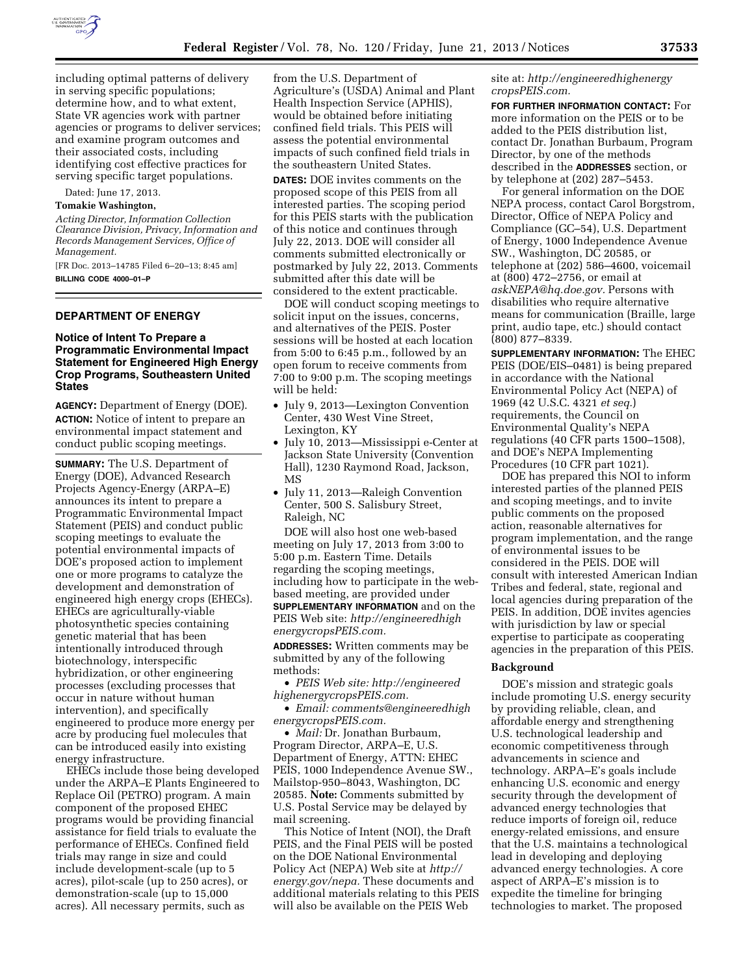

including optimal patterns of delivery in serving specific populations; determine how, and to what extent, State VR agencies work with partner agencies or programs to deliver services; and examine program outcomes and their associated costs, including identifying cost effective practices for serving specific target populations.

Dated: June 17, 2013.

## **Tomakie Washington,**

*Acting Director, Information Collection Clearance Division, Privacy, Information and Records Management Services, Office of Management.* 

[FR Doc. 2013–14785 Filed 6–20–13; 8:45 am] **BILLING CODE 4000–01–P** 

## **DEPARTMENT OF ENERGY**

## **Notice of Intent To Prepare a Programmatic Environmental Impact Statement for Engineered High Energy Crop Programs, Southeastern United States**

**AGENCY:** Department of Energy (DOE). **ACTION:** Notice of intent to prepare an environmental impact statement and conduct public scoping meetings.

**SUMMARY:** The U.S. Department of Energy (DOE), Advanced Research Projects Agency-Energy (ARPA–E) announces its intent to prepare a Programmatic Environmental Impact Statement (PEIS) and conduct public scoping meetings to evaluate the potential environmental impacts of DOE's proposed action to implement one or more programs to catalyze the development and demonstration of engineered high energy crops (EHECs). EHECs are agriculturally-viable photosynthetic species containing genetic material that has been intentionally introduced through biotechnology, interspecific hybridization, or other engineering processes (excluding processes that occur in nature without human intervention), and specifically engineered to produce more energy per acre by producing fuel molecules that can be introduced easily into existing energy infrastructure.

EHECs include those being developed under the ARPA–E Plants Engineered to Replace Oil (PETRO) program. A main component of the proposed EHEC programs would be providing financial assistance for field trials to evaluate the performance of EHECs. Confined field trials may range in size and could include development-scale (up to 5 acres), pilot-scale (up to 250 acres), or demonstration-scale (up to 15,000 acres). All necessary permits, such as

from the U.S. Department of Agriculture's (USDA) Animal and Plant Health Inspection Service (APHIS), would be obtained before initiating confined field trials. This PEIS will assess the potential environmental impacts of such confined field trials in the southeastern United States.

**DATES:** DOE invites comments on the proposed scope of this PEIS from all interested parties. The scoping period for this PEIS starts with the publication of this notice and continues through July 22, 2013. DOE will consider all comments submitted electronically or postmarked by July 22, 2013. Comments submitted after this date will be considered to the extent practicable.

DOE will conduct scoping meetings to solicit input on the issues, concerns, and alternatives of the PEIS. Poster sessions will be hosted at each location from 5:00 to 6:45 p.m., followed by an open forum to receive comments from 7:00 to 9:00 p.m. The scoping meetings will be held:

- July 9, 2013—Lexington Convention Center, 430 West Vine Street, Lexington, KY
- July 10, 2013—Mississippi e-Center at Jackson State University (Convention Hall), 1230 Raymond Road, Jackson, MS
- July 11, 2013—Raleigh Convention Center, 500 S. Salisbury Street, Raleigh, NC

DOE will also host one web-based meeting on July 17, 2013 from 3:00 to 5:00 p.m. Eastern Time. Details regarding the scoping meetings, including how to participate in the webbased meeting, are provided under **SUPPLEMENTARY INFORMATION** and on the PEIS Web site: *[http://engineeredhigh](http://engineeredhighenergycropsPEIS.com) [energycropsPEIS.com.](http://engineeredhighenergycropsPEIS.com)* 

**ADDRESSES:** Written comments may be submitted by any of the following methods:

• *PEIS Web site: [http://engineered](http://engineeredhighenergycropsPEIS.com) [highenergycropsPEIS.com.](http://engineeredhighenergycropsPEIS.com)* 

• *Email: [comments@engineeredhigh](mailto:comments@engineeredhighenergycropsPEIS.com) [energycropsPEIS.com.](mailto:comments@engineeredhighenergycropsPEIS.com)* 

• *Mail:* Dr. Jonathan Burbaum, Program Director, ARPA–E, U.S. Department of Energy, ATTN: EHEC PEIS, 1000 Independence Avenue SW., Mailstop-950–8043, Washington, DC 20585. **Note:** Comments submitted by U.S. Postal Service may be delayed by mail screening.

This Notice of Intent (NOI), the Draft PEIS, and the Final PEIS will be posted on the DOE National Environmental Policy Act (NEPA) Web site at *[http://](http://energy.gov/nepa) [energy.gov/nepa.](http://energy.gov/nepa)* These documents and additional materials relating to this PEIS will also be available on the PEIS Web

site at: *[http://engineeredhighenergy](http://engineeredhighenergycropsPEIS.com) [cropsPEIS.com.](http://engineeredhighenergycropsPEIS.com)* 

**FOR FURTHER INFORMATION CONTACT:** For more information on the PEIS or to be added to the PEIS distribution list, contact Dr. Jonathan Burbaum, Program Director, by one of the methods described in the **ADDRESSES** section, or by telephone at (202) 287–5453.

For general information on the DOE NEPA process, contact Carol Borgstrom, Director, Office of NEPA Policy and Compliance (GC–54), U.S. Department of Energy, 1000 Independence Avenue SW., Washington, DC 20585, or telephone at (202) 586–4600, voicemail at (800) 472–2756, or email at *[askNEPA@hq.doe.gov.](mailto:askNEPA@hq.doe.gov)* Persons with disabilities who require alternative means for communication (Braille, large print, audio tape, etc.) should contact (800) 877–8339.

**SUPPLEMENTARY INFORMATION:** The EHEC PEIS (DOE/EIS–0481) is being prepared in accordance with the National Environmental Policy Act (NEPA) of 1969 (42 U.S.C. 4321 *et seq.*) requirements, the Council on Environmental Quality's NEPA regulations (40 CFR parts 1500–1508), and DOE's NEPA Implementing Procedures (10 CFR part 1021).

DOE has prepared this NOI to inform interested parties of the planned PEIS and scoping meetings, and to invite public comments on the proposed action, reasonable alternatives for program implementation, and the range of environmental issues to be considered in the PEIS. DOE will consult with interested American Indian Tribes and federal, state, regional and local agencies during preparation of the PEIS. In addition, DOE invites agencies with jurisdiction by law or special expertise to participate as cooperating agencies in the preparation of this PEIS.

#### **Background**

DOE's mission and strategic goals include promoting U.S. energy security by providing reliable, clean, and affordable energy and strengthening U.S. technological leadership and economic competitiveness through advancements in science and technology. ARPA–E's goals include enhancing U.S. economic and energy security through the development of advanced energy technologies that reduce imports of foreign oil, reduce energy-related emissions, and ensure that the U.S. maintains a technological lead in developing and deploying advanced energy technologies. A core aspect of ARPA–E's mission is to expedite the timeline for bringing technologies to market. The proposed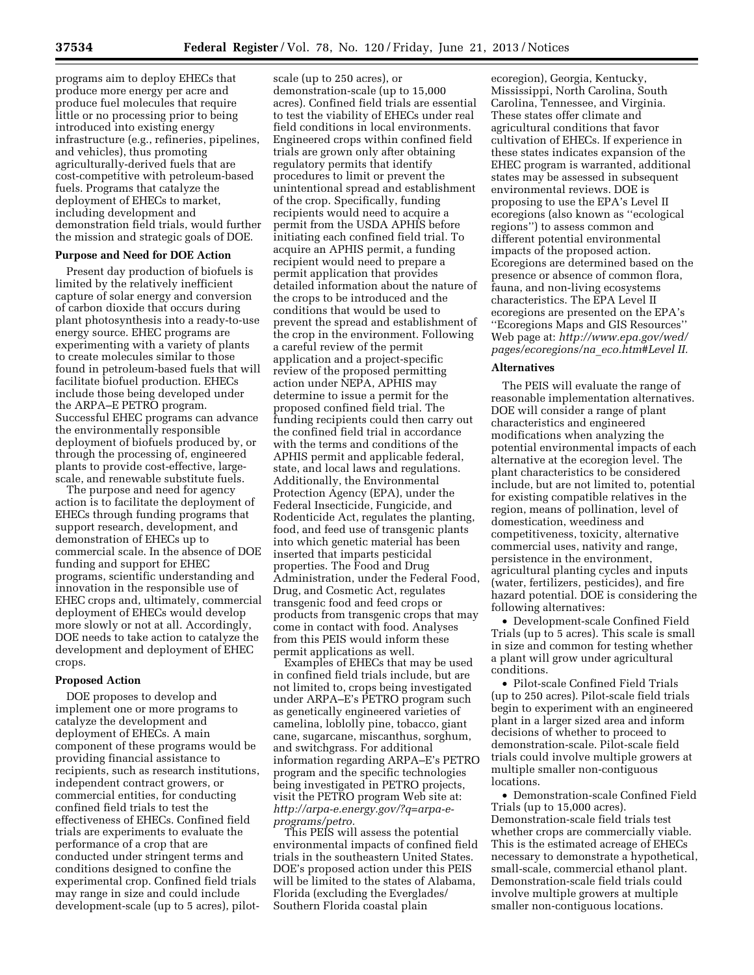programs aim to deploy EHECs that produce more energy per acre and produce fuel molecules that require little or no processing prior to being introduced into existing energy infrastructure (e.g., refineries, pipelines, and vehicles), thus promoting agriculturally-derived fuels that are cost-competitive with petroleum-based fuels. Programs that catalyze the deployment of EHECs to market, including development and demonstration field trials, would further the mission and strategic goals of DOE.

#### **Purpose and Need for DOE Action**

Present day production of biofuels is limited by the relatively inefficient capture of solar energy and conversion of carbon dioxide that occurs during plant photosynthesis into a ready-to-use energy source. EHEC programs are experimenting with a variety of plants to create molecules similar to those found in petroleum-based fuels that will facilitate biofuel production. EHECs include those being developed under the ARPA–E PETRO program. Successful EHEC programs can advance the environmentally responsible deployment of biofuels produced by, or through the processing of, engineered plants to provide cost-effective, largescale, and renewable substitute fuels.

The purpose and need for agency action is to facilitate the deployment of EHECs through funding programs that support research, development, and demonstration of EHECs up to commercial scale. In the absence of DOE funding and support for EHEC programs, scientific understanding and innovation in the responsible use of EHEC crops and, ultimately, commercial deployment of EHECs would develop more slowly or not at all. Accordingly, DOE needs to take action to catalyze the development and deployment of EHEC crops.

#### **Proposed Action**

DOE proposes to develop and implement one or more programs to catalyze the development and deployment of EHECs. A main component of these programs would be providing financial assistance to recipients, such as research institutions, independent contract growers, or commercial entities, for conducting confined field trials to test the effectiveness of EHECs. Confined field trials are experiments to evaluate the performance of a crop that are conducted under stringent terms and conditions designed to confine the experimental crop. Confined field trials may range in size and could include development-scale (up to 5 acres), pilot-

scale (up to 250 acres), or demonstration-scale (up to 15,000 acres). Confined field trials are essential to test the viability of EHECs under real field conditions in local environments. Engineered crops within confined field trials are grown only after obtaining regulatory permits that identify procedures to limit or prevent the unintentional spread and establishment of the crop. Specifically, funding recipients would need to acquire a permit from the USDA APHIS before initiating each confined field trial. To acquire an APHIS permit, a funding recipient would need to prepare a permit application that provides detailed information about the nature of the crops to be introduced and the conditions that would be used to prevent the spread and establishment of the crop in the environment. Following a careful review of the permit application and a project-specific review of the proposed permitting action under NEPA, APHIS may determine to issue a permit for the proposed confined field trial. The funding recipients could then carry out the confined field trial in accordance with the terms and conditions of the APHIS permit and applicable federal, state, and local laws and regulations. Additionally, the Environmental Protection Agency (EPA), under the Federal Insecticide, Fungicide, and Rodenticide Act, regulates the planting, food, and feed use of transgenic plants into which genetic material has been inserted that imparts pesticidal properties. The Food and Drug Administration, under the Federal Food, Drug, and Cosmetic Act, regulates transgenic food and feed crops or products from transgenic crops that may come in contact with food. Analyses from this PEIS would inform these permit applications as well.

Examples of EHECs that may be used in confined field trials include, but are not limited to, crops being investigated under ARPA–E's PETRO program such as genetically engineered varieties of camelina, loblolly pine, tobacco, giant cane, sugarcane, miscanthus, sorghum, and switchgrass. For additional information regarding ARPA–E's PETRO program and the specific technologies being investigated in PETRO projects, visit the PETRO program Web site at: *[http://arpa-e.energy.gov/?q=arpa-e](http://arpa-e.energy.gov/?q=arpa-e-programs/petro)[programs/petro.](http://arpa-e.energy.gov/?q=arpa-e-programs/petro)* 

This PEIS will assess the potential environmental impacts of confined field trials in the southeastern United States. DOE's proposed action under this PEIS will be limited to the states of Alabama, Florida (excluding the Everglades/ Southern Florida coastal plain

ecoregion), Georgia, Kentucky, Mississippi, North Carolina, South Carolina, Tennessee, and Virginia. These states offer climate and agricultural conditions that favor cultivation of EHECs. If experience in these states indicates expansion of the EHEC program is warranted, additional states may be assessed in subsequent environmental reviews. DOE is proposing to use the EPA's Level II ecoregions (also known as ''ecological regions'') to assess common and different potential environmental impacts of the proposed action. Ecoregions are determined based on the presence or absence of common flora, fauna, and non-living ecosystems characteristics. The EPA Level II ecoregions are presented on the EPA's ''Ecoregions Maps and GIS Resources'' Web page at: *[http://www.epa.gov/wed/](http://www.epa.gov/wed/pages/ecoregions/na_eco.htm#Level II) [pages/ecoregions/na](http://www.epa.gov/wed/pages/ecoregions/na_eco.htm#Level II)*\_*eco.htm#Level II.* 

#### **Alternatives**

The PEIS will evaluate the range of reasonable implementation alternatives. DOE will consider a range of plant characteristics and engineered modifications when analyzing the potential environmental impacts of each alternative at the ecoregion level. The plant characteristics to be considered include, but are not limited to, potential for existing compatible relatives in the region, means of pollination, level of domestication, weediness and competitiveness, toxicity, alternative commercial uses, nativity and range, persistence in the environment, agricultural planting cycles and inputs (water, fertilizers, pesticides), and fire hazard potential. DOE is considering the following alternatives:

• Development-scale Confined Field Trials (up to 5 acres). This scale is small in size and common for testing whether a plant will grow under agricultural conditions.

• Pilot-scale Confined Field Trials (up to 250 acres). Pilot-scale field trials begin to experiment with an engineered plant in a larger sized area and inform decisions of whether to proceed to demonstration-scale. Pilot-scale field trials could involve multiple growers at multiple smaller non-contiguous locations.

• Demonstration-scale Confined Field Trials (up to 15,000 acres). Demonstration-scale field trials test whether crops are commercially viable. This is the estimated acreage of EHECs necessary to demonstrate a hypothetical, small-scale, commercial ethanol plant. Demonstration-scale field trials could involve multiple growers at multiple smaller non-contiguous locations.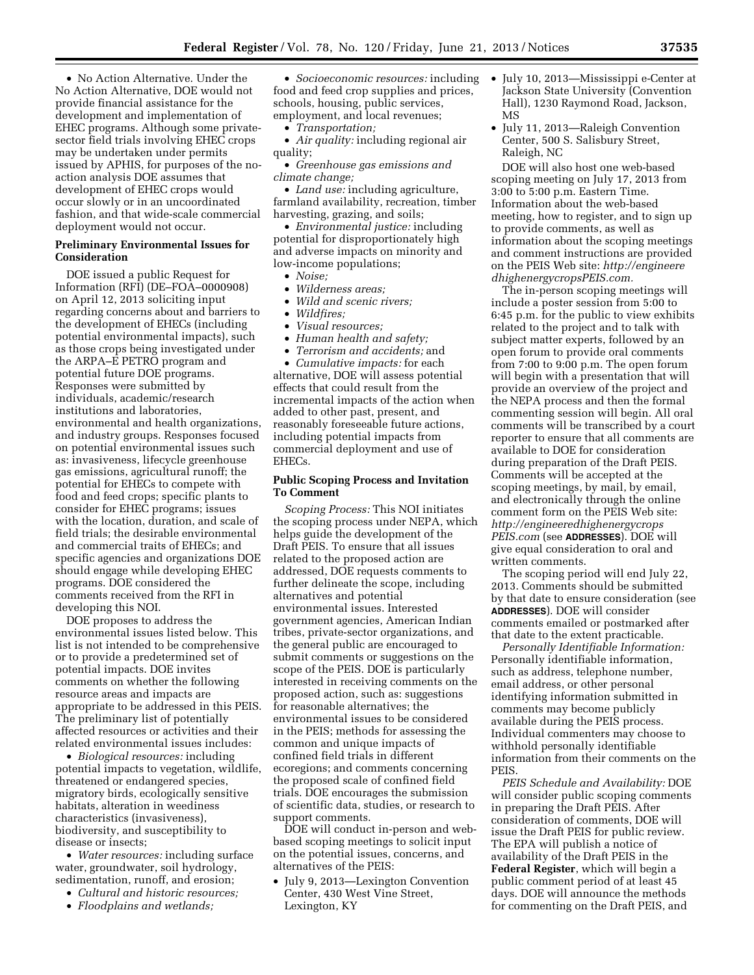• No Action Alternative. Under the No Action Alternative, DOE would not provide financial assistance for the development and implementation of EHEC programs. Although some privatesector field trials involving EHEC crops may be undertaken under permits issued by APHIS, for purposes of the noaction analysis DOE assumes that development of EHEC crops would occur slowly or in an uncoordinated fashion, and that wide-scale commercial deployment would not occur.

## **Preliminary Environmental Issues for Consideration**

DOE issued a public Request for Information (RFI) (DE–FOA–0000908) on April 12, 2013 soliciting input regarding concerns about and barriers to the development of EHECs (including potential environmental impacts), such as those crops being investigated under the ARPA–E PETRO program and potential future DOE programs. Responses were submitted by individuals, academic/research institutions and laboratories, environmental and health organizations, and industry groups. Responses focused on potential environmental issues such as: invasiveness, lifecycle greenhouse gas emissions, agricultural runoff; the potential for EHECs to compete with food and feed crops; specific plants to consider for EHEC programs; issues with the location, duration, and scale of field trials; the desirable environmental and commercial traits of EHECs; and specific agencies and organizations DOE should engage while developing EHEC programs. DOE considered the comments received from the RFI in developing this NOI.

DOE proposes to address the environmental issues listed below. This list is not intended to be comprehensive or to provide a predetermined set of potential impacts. DOE invites comments on whether the following resource areas and impacts are appropriate to be addressed in this PEIS. The preliminary list of potentially affected resources or activities and their related environmental issues includes:

• *Biological resources:* including potential impacts to vegetation, wildlife, threatened or endangered species, migratory birds, ecologically sensitive habitats, alteration in weediness characteristics (invasiveness), biodiversity, and susceptibility to disease or insects;

• *Water resources:* including surface water, groundwater, soil hydrology, sedimentation, runoff, and erosion;

- *Cultural and historic resources;*
- *Floodplains and wetlands;*

food and feed crop supplies and prices, schools, housing, public services, employment, and local revenues;

• *Transportation;* 

• *Air quality:* including regional air quality;

• *Greenhouse gas emissions and climate change;* 

• *Land use:* including agriculture, farmland availability, recreation, timber harvesting, grazing, and soils;

• *Environmental justice:* including potential for disproportionately high and adverse impacts on minority and low-income populations;

- *Noise;*
- *Wilderness areas;*
- *Wild and scenic rivers;*
- *Wildfires;*
- *Visual resources;*
- *Human health and safety;*
- *Terrorism and accidents;* and

• *Cumulative impacts:* for each alternative, DOE will assess potential effects that could result from the incremental impacts of the action when added to other past, present, and reasonably foreseeable future actions, including potential impacts from commercial deployment and use of EHECs.

## **Public Scoping Process and Invitation To Comment**

*Scoping Process:* This NOI initiates the scoping process under NEPA, which helps guide the development of the Draft PEIS. To ensure that all issues related to the proposed action are addressed, DOE requests comments to further delineate the scope, including alternatives and potential environmental issues. Interested government agencies, American Indian tribes, private-sector organizations, and the general public are encouraged to submit comments or suggestions on the scope of the PEIS. DOE is particularly interested in receiving comments on the proposed action, such as: suggestions for reasonable alternatives; the environmental issues to be considered in the PEIS; methods for assessing the common and unique impacts of confined field trials in different ecoregions; and comments concerning the proposed scale of confined field trials. DOE encourages the submission of scientific data, studies, or research to support comments.

DOE will conduct in-person and webbased scoping meetings to solicit input on the potential issues, concerns, and alternatives of the PEIS:

• July 9, 2013—Lexington Convention Center, 430 West Vine Street, Lexington, KY

- *Socioeconomic resources:* including July 10, 2013—Mississippi e-Center at Jackson State University (Convention Hall), 1230 Raymond Road, Jackson, MS
	- July 11, 2013—Raleigh Convention Center, 500 S. Salisbury Street, Raleigh, NC

DOE will also host one web-based scoping meeting on July 17, 2013 from 3:00 to 5:00 p.m. Eastern Time. Information about the web-based meeting, how to register, and to sign up to provide comments, as well as information about the scoping meetings and comment instructions are provided on the PEIS Web site: *[http://engineere](http://engineeredhighenergycropsPEIS.com) [dhighenergycropsPEIS.com.](http://engineeredhighenergycropsPEIS.com)* 

The in-person scoping meetings will include a poster session from 5:00 to 6:45 p.m. for the public to view exhibits related to the project and to talk with subject matter experts, followed by an open forum to provide oral comments from 7:00 to 9:00 p.m. The open forum will begin with a presentation that will provide an overview of the project and the NEPA process and then the formal commenting session will begin. All oral comments will be transcribed by a court reporter to ensure that all comments are available to DOE for consideration during preparation of the Draft PEIS. Comments will be accepted at the scoping meetings, by mail, by email, and electronically through the online comment form on the PEIS Web site: *[http://engineeredhighenergycrops](http://engineeredhighenergycropsPEIS.com) [PEIS.com](http://engineeredhighenergycropsPEIS.com)* (see **ADDRESSES**). DOE will give equal consideration to oral and written comments.

The scoping period will end July 22, 2013. Comments should be submitted by that date to ensure consideration (see **ADDRESSES**). DOE will consider comments emailed or postmarked after that date to the extent practicable.

*Personally Identifiable Information:*  Personally identifiable information, such as address, telephone number, email address, or other personal identifying information submitted in comments may become publicly available during the PEIS process. Individual commenters may choose to withhold personally identifiable information from their comments on the **PEIS** 

*PEIS Schedule and Availability:* DOE will consider public scoping comments in preparing the Draft PEIS. After consideration of comments, DOE will issue the Draft PEIS for public review. The EPA will publish a notice of availability of the Draft PEIS in the **Federal Register**, which will begin a public comment period of at least 45 days. DOE will announce the methods for commenting on the Draft PEIS, and